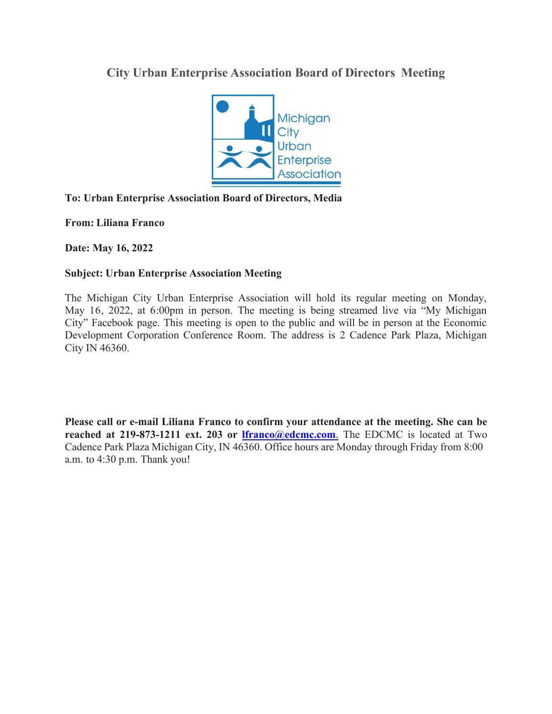## **City Urban Enterprise Association Board of Directors Meeting**



## **To: Urban Enterprise Association Board of Directors, Media**

**From: Liliana Franco**

**Date: May 16, 2022**

## **Subject: Urban Enterprise Association Meeting**

The Michigan City Urban Enterprise Association will hold its regular meeting on Monday, May 16, 2022, at 6:00pm in person. The meeting is being streamed live via "My Michigan City" Facebook page. This meeting is open to the public and will be in person at the Economic Development Corporation Conference Room. The address is 2 Cadence Park Plaza, Michigan City IN 46360.

**Please call or e-mail Liliana Franco to confirm your attendance at the meeting. She can be reached at 219-873-1211 ext. 203 or Ifranco@edcmc.com**. The EDCMC is located at Two Cadence Park Plaza Michigan City, IN 46360. Office hours are Monday through Friday from 8:00 a.m. to 4:30 p.m. Thank you!